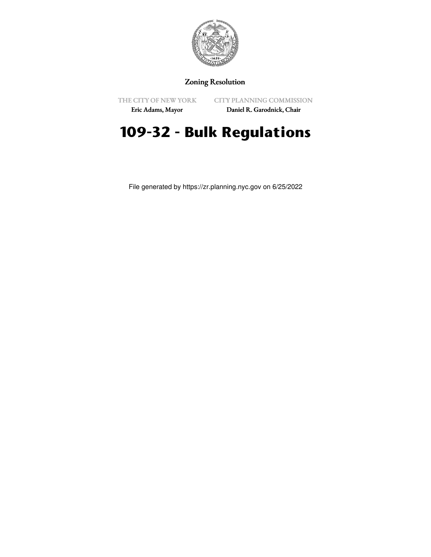

## Zoning Resolution

THE CITY OF NEW YORK

CITY PLANNING COMMISSION

Eric Adams, Mayor

Daniel R. Garodnick, Chair

# **109-32 - Bulk Regulations**

File generated by https://zr.planning.nyc.gov on 6/25/2022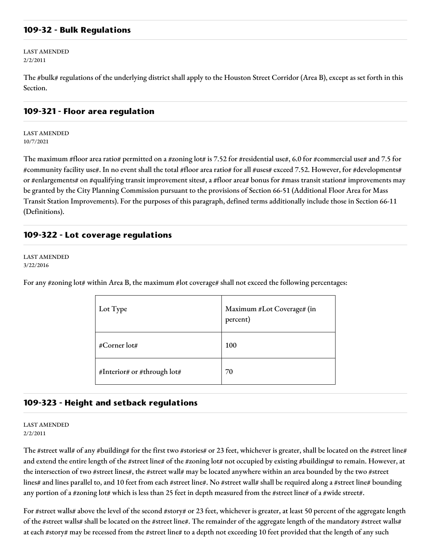## **109-32 - Bulk Regulations**

LAST AMENDED 2/2/2011

The #bulk# regulations of the underlying district shall apply to the Houston Street Corridor (Area B), except as set forth in this Section.

#### **109-321 - Floor area regulation**

LAST AMENDED 10/7/2021

The maximum #floor area ratio# permitted on a #zoning lot# is 7.52 for #residential use#, 6.0 for #commercial use# and 7.5 for #community facility use#. In no event shall the total #floor area ratio# for all #uses# exceed 7.52. However, for #developments# or #enlargements# on #qualifying transit improvement sites#, a #floor area# bonus for #mass transit station# improvements may be granted by the City Planning Commission pursuant to the provisions of Section 66-51 (Additional Floor Area for Mass Transit Station Improvements). For the purposes of this paragraph, defined terms additionally include those in Section 66-11 (Definitions).

## **109-322 - Lot coverage regulations**

LAST AMENDED 3/22/2016

For any #zoning lot# within Area B, the maximum #lot coverage# shall not exceed the following percentages:

| Lot Type                    | Maximum #Lot Coverage# (in<br>percent) |
|-----------------------------|----------------------------------------|
| #Corner lot#                | 100                                    |
| #Interior# or #through lot# | 70                                     |

### **109-323 - Height and setback regulations**

LAST AMENDED 2/2/2011

The #street wall# of any #building# for the first two #stories# or 23 feet, whichever is greater, shall be located on the #street line# and extend the entire length of the #street line# of the #zoning lot# not occupied by existing #buildings# to remain. However, at the intersection of two #street lines#, the #street wall# may be located anywhere within an area bounded by the two #street lines# and lines parallel to, and 10 feet from each #street line#. No #street wall# shall be required along a #street line# bounding any portion of a #zoning lot# which is less than 25 feet in depth measured from the #street line# of a #wide street#.

For #street walls# above the level of the second #story# or 23 feet, whichever is greater, at least 50 percent of the aggregate length of the #street walls# shall be located on the #street line#. The remainder of the aggregate length of the mandatory #street walls# at each #story# may be recessed from the #street line# to a depth not exceeding 10 feet provided that the length of any such